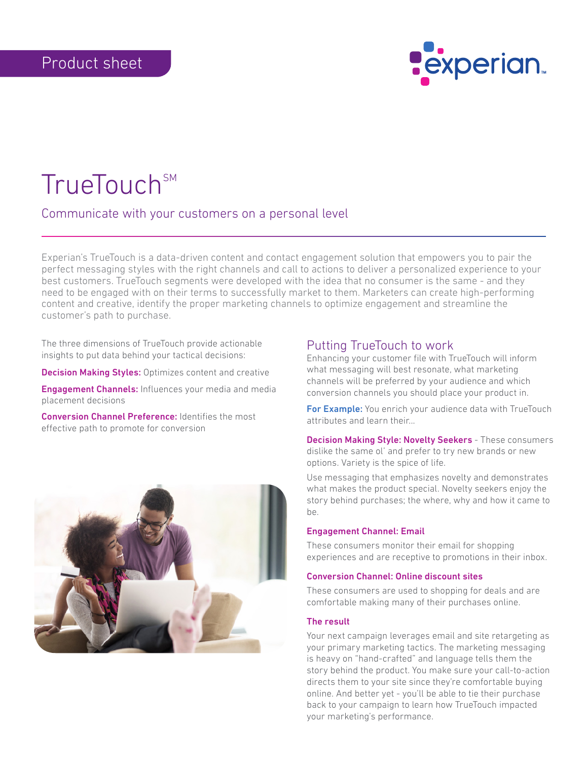

# TrueTouch<sup>SM</sup>

## Communicate with your customers on a personal level

Experian's TrueTouch is a data-driven content and contact engagement solution that empowers you to pair the perfect messaging styles with the right channels and call to actions to deliver a personalized experience to your best customers. TrueTouch segments were developed with the idea that no consumer is the same - and they need to be engaged with on their terms to successfully market to them. Marketers can create high-performing content and creative, identify the proper marketing channels to optimize engagement and streamline the customer's path to purchase.

The three dimensions of TrueTouch provide actionable insights to put data behind your tactical decisions:

**Decision Making Styles:** Optimizes content and creative

Engagement Channels: Influences your media and media placement decisions

Conversion Channel Preference: Identifies the most effective path to promote for conversion



# Putting TrueTouch to work

Enhancing your customer file with TrueTouch will inform what messaging will best resonate, what marketing channels will be preferred by your audience and which conversion channels you should place your product in.

For Example: You enrich your audience data with TrueTouch attributes and learn their...

**Decision Making Style: Novelty Seekers - These consumers** dislike the same ol' and prefer to try new brands or new options. Variety is the spice of life.

Use messaging that emphasizes novelty and demonstrates what makes the product special. Novelty seekers enjoy the story behind purchases; the where, why and how it came to be.

## Engagement Channel: Email

These consumers monitor their email for shopping experiences and are receptive to promotions in their inbox.

## Conversion Channel: Online discount sites

These consumers are used to shopping for deals and are comfortable making many of their purchases online.

#### The result

Your next campaign leverages email and site retargeting as your primary marketing tactics. The marketing messaging is heavy on "hand-crafted" and language tells them the story behind the product. You make sure your call-to-action directs them to your site since they're comfortable buying online. And better yet - you'll be able to tie their purchase back to your campaign to learn how TrueTouch impacted your marketing's performance.